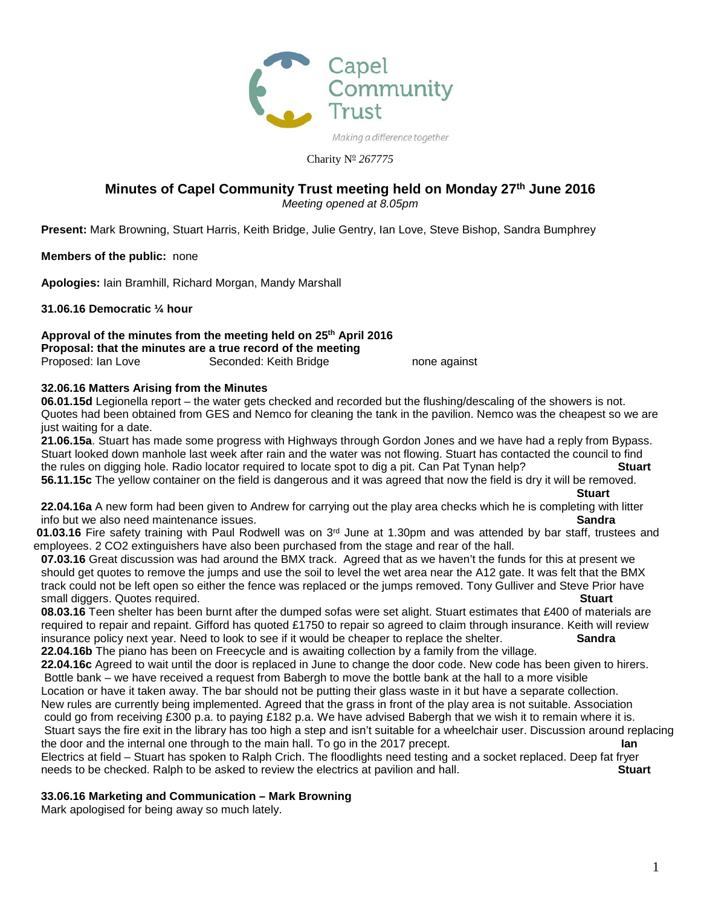

Charity Nº 267775

# **Minutes of Capel Community Trust meeting held on Monday 27th June 2016**

*Meeting opened at 8.05pm*

**Present:** Mark Browning, Stuart Harris, Keith Bridge, Julie Gentry, Ian Love, Steve Bishop, Sandra Bumphrey

**Members of the public:** none

**Apologies:** Iain Bramhill, Richard Morgan, Mandy Marshall

**31.06.16 Democratic ¼ hour**

**Approval of the minutes from the meeting held on 25th April 2016 Proposal: that the minutes are a true record of the meeting** Proposed: Ian Love Seconded: Keith Bridge none against

# **32.06.16 Matters Arising from the Minutes**

**06.01.15d** Legionella report – the water gets checked and recorded but the flushing/descaling of the showers is not. Quotes had been obtained from GES and Nemco for cleaning the tank in the pavilion. Nemco was the cheapest so we are just waiting for a date.

**21.06.15a**. Stuart has made some progress with Highways through Gordon Jones and we have had a reply from Bypass. Stuart looked down manhole last week after rain and the water was not flowing. Stuart has contacted the council to find<br>the rules on digging hole. Radio locator required to locate spot to dig a pit. Can Pat Tynan help?<br>**St** the rules on digging hole. Radio locator required to locate spot to dig a pit. Can Pat Tynan help? **56.11.15c** The yellow container on the field is dangerous and it was agreed that now the field is dry it will be removed.

**22.04.16a** A new form had been given to Andrew for carrying out the play area checks which he is completing with litter info but we also need maintenance issues. **Sandra**

**01.03.16** Fire safety training with Paul Rodwell was on 3rd June at 1.30pm and was attended by bar staff, trustees and employees. 2 CO2 extinguishers have also been purchased from the stage and rear of the hall.

**07.03.16** Great discussion was had around the BMX track. Agreed that as we haven't the funds for this at present we should get quotes to remove the jumps and use the soil to level the wet area near the A12 gate. It was felt that the BMX track could not be left open so either the fence was replaced or the jumps removed. Tony Gulliver and Steve Prior have small diggers. Quotes required.

**08.03.16** Teen shelter has been burnt after the dumped sofas were set alight. Stuart estimates that £400 of materials are required to repair and repaint. Gifford has quoted £1750 to repair so agreed to claim through insurance. Keith will review insurance policy next year. Need to look to see if it would be cheaper to replace the shelter. **Sandra 22.04.16b** The piano has been on Freecycle and is awaiting collection by a family from the village.

**22.04.16c** Agreed to wait until the door is replaced in June to change the door code. New code has been given to hirers. Bottle bank – we have received a request from Babergh to move the bottle bank at the hall to a more visible

Location or have it taken away. The bar should not be putting their glass waste in it but have a separate collection. New rules are currently being implemented. Agreed that the grass in front of the play area is not suitable. Association could go from receiving £300 p.a. to paying £182 p.a. We have advised Babergh that we wish it to remain where it is. Stuart says the fire exit in the library has too high a step and isn't suitable for a wheelchair user. Discussion around replacing the door and the internal one through to the main hall. To go in the 2017 precept. **Ian**

Electrics at field – Stuart has spoken to Ralph Crich. The floodlights need testing and a socket replaced. Deep fat fryer needs to be checked. Ralph to be asked to review the electrics at pavilion and hall. **Stuart**

# **33.06.16 Marketing and Communication – Mark Browning**

Mark apologised for being away so much lately.

**Stuart**